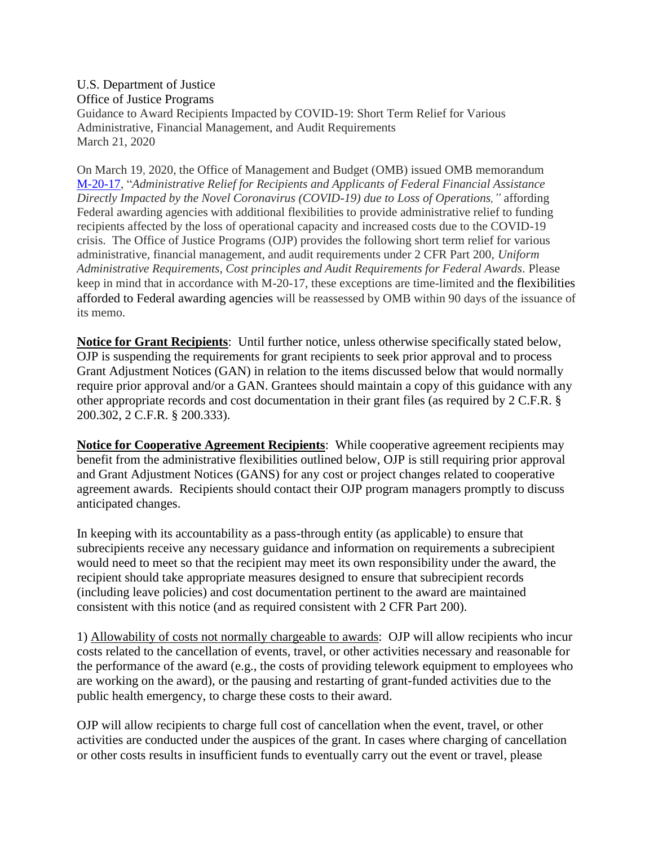U.S. Department of Justice Office of Justice Programs Guidance to Award Recipients Impacted by COVID-19: Short Term Relief for Various Administrative, Financial Management, and Audit Requirements March 21, 2020

On March 19, 2020, the Office of Management and Budget (OMB) issued OMB memorandum [M-20-17,](https://www.whitehouse.gov/wp-content/uploads/2020/03/M-20-17.pdf) "*Administrative Relief for Recipients and Applicants of Federal Financial Assistance Directly Impacted by the Novel Coronavirus (COVID-19) due to Loss of Operations,"* affording Federal awarding agencies with additional flexibilities to provide administrative relief to funding recipients affected by the loss of operational capacity and increased costs due to the COVID-19 crisis. The Office of Justice Programs (OJP) provides the following short term relief for various administrative, financial management, and audit requirements under 2 CFR Part 200, *Uniform Administrative Requirements, Cost principles and Audit Requirements for Federal Awards.* Please keep in mind that in accordance with M-20-17, these exceptions are time-limited and the flexibilities afforded to Federal awarding agencies will be reassessed by OMB within 90 days of the issuance of its memo.

**Notice for Grant Recipients**: Until further notice, unless otherwise specifically stated below, OJP is suspending the requirements for grant recipients to seek prior approval and to process Grant Adjustment Notices (GAN) in relation to the items discussed below that would normally require prior approval and/or a GAN. Grantees should maintain a copy of this guidance with any other appropriate records and cost documentation in their grant files (as required by 2 C.F.R. § 200.302, 2 C.F.R. § 200.333).

**Notice for Cooperative Agreement Recipients**: While cooperative agreement recipients may benefit from the administrative flexibilities outlined below, OJP is still requiring prior approval and Grant Adjustment Notices (GANS) for any cost or project changes related to cooperative agreement awards. Recipients should contact their OJP program managers promptly to discuss anticipated changes.

In keeping with its accountability as a pass-through entity (as applicable) to ensure that subrecipients receive any necessary guidance and information on requirements a subrecipient would need to meet so that the recipient may meet its own responsibility under the award, the recipient should take appropriate measures designed to ensure that subrecipient records (including leave policies) and cost documentation pertinent to the award are maintained consistent with this notice (and as required consistent with 2 CFR Part 200).

1) Allowability of costs not normally chargeable to awards: OJP will allow recipients who incur costs related to the cancellation of events, travel, or other activities necessary and reasonable for the performance of the award (e.g., the costs of providing telework equipment to employees who are working on the award), or the pausing and restarting of grant-funded activities due to the public health emergency, to charge these costs to their award.

OJP will allow recipients to charge full cost of cancellation when the event, travel, or other activities are conducted under the auspices of the grant. In cases where charging of cancellation or other costs results in insufficient funds to eventually carry out the event or travel, please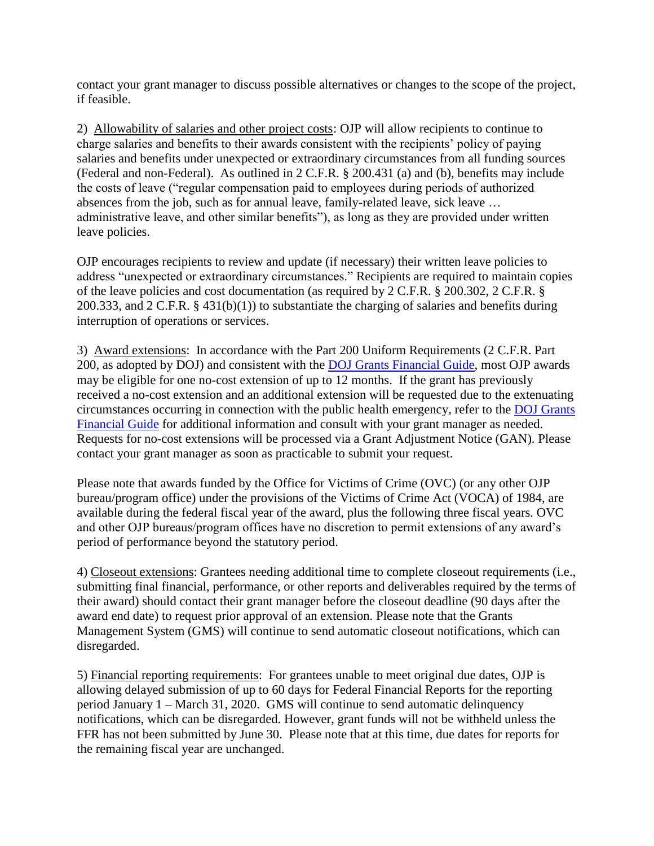contact your grant manager to discuss possible alternatives or changes to the scope of the project, if feasible.

2) Allowability of salaries and other project costs: OJP will allow recipients to continue to charge salaries and benefits to their awards consistent with the recipients' policy of paying salaries and benefits under unexpected or extraordinary circumstances from all funding sources (Federal and non-Federal). As outlined in 2 C.F.R. § 200.431 (a) and (b), benefits may include the costs of leave ("regular compensation paid to employees during periods of authorized absences from the job, such as for annual leave, family-related leave, sick leave … administrative leave, and other similar benefits"), as long as they are provided under written leave policies.

OJP encourages recipients to review and update (if necessary) their written leave policies to address "unexpected or extraordinary circumstances." Recipients are required to maintain copies of the leave policies and cost documentation (as required by 2 C.F.R. § 200.302, 2 C.F.R. § 200.333, and 2 C.F.R. § 431(b)(1)) to substantiate the charging of salaries and benefits during interruption of operations or services.

3) Award extensions: In accordance with the Part 200 Uniform Requirements (2 C.F.R. Part 200, as adopted by DOJ) and consistent with the [DOJ Grants Financial Guide,](https://www.ojp.gov/funding/financialguidedoj/overview) most OJP awards may be eligible for one no-cost extension of up to 12 months. If the grant has previously received a no-cost extension and an additional extension will be requested due to the extenuating circumstances occurring in connection with the public health emergency, refer to the [DOJ Grants](https://www.ojp.gov/funding/financialguidedoj/overview)  [Financial Guide](https://www.ojp.gov/funding/financialguidedoj/overview) for additional information and consult with your grant manager as needed. Requests for no-cost extensions will be processed via a Grant Adjustment Notice (GAN). Please contact your grant manager as soon as practicable to submit your request.

Please note that awards funded by the Office for Victims of Crime (OVC) (or any other OJP bureau/program office) under the provisions of the Victims of Crime Act (VOCA) of 1984, are available during the federal fiscal year of the award, plus the following three fiscal years. OVC and other OJP bureaus/program offices have no discretion to permit extensions of any award's period of performance beyond the statutory period.

4) Closeout extensions: Grantees needing additional time to complete closeout requirements (i.e., submitting final financial, performance, or other reports and deliverables required by the terms of their award) should contact their grant manager before the closeout deadline (90 days after the award end date) to request prior approval of an extension. Please note that the Grants Management System (GMS) will continue to send automatic closeout notifications, which can disregarded.

5) Financial reporting requirements: For grantees unable to meet original due dates, OJP is allowing delayed submission of up to 60 days for Federal Financial Reports for the reporting period January 1 – March 31, 2020. GMS will continue to send automatic delinquency notifications, which can be disregarded. However, grant funds will not be withheld unless the FFR has not been submitted by June 30. Please note that at this time, due dates for reports for the remaining fiscal year are unchanged.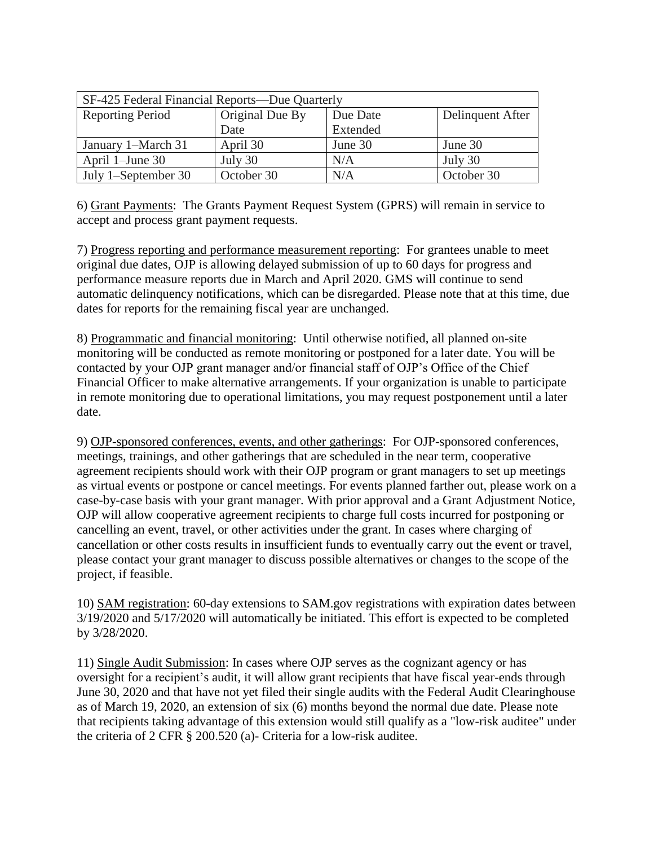| SF-425 Federal Financial Reports-Due Quarterly |                 |          |                  |
|------------------------------------------------|-----------------|----------|------------------|
| <b>Reporting Period</b>                        | Original Due By | Due Date | Delinquent After |
|                                                | Date            | Extended |                  |
| January 1-March 31                             | April 30        | June 30  | June 30          |
| April 1-June 30                                | July 30         | N/A      | July 30          |
| July 1-September 30                            | October 30      | N/A      | October 30       |

6) Grant Payments: The Grants Payment Request System (GPRS) will remain in service to accept and process grant payment requests.

7) Progress reporting and performance measurement reporting: For grantees unable to meet original due dates, OJP is allowing delayed submission of up to 60 days for progress and performance measure reports due in March and April 2020. GMS will continue to send automatic delinquency notifications, which can be disregarded. Please note that at this time, due dates for reports for the remaining fiscal year are unchanged.

8) Programmatic and financial monitoring: Until otherwise notified, all planned on-site monitoring will be conducted as remote monitoring or postponed for a later date. You will be contacted by your OJP grant manager and/or financial staff of OJP's Office of the Chief Financial Officer to make alternative arrangements. If your organization is unable to participate in remote monitoring due to operational limitations, you may request postponement until a later date.

9) OJP-sponsored conferences, events, and other gatherings: For OJP-sponsored conferences, meetings, trainings, and other gatherings that are scheduled in the near term, cooperative agreement recipients should work with their OJP program or grant managers to set up meetings as virtual events or postpone or cancel meetings. For events planned farther out, please work on a case-by-case basis with your grant manager. With prior approval and a Grant Adjustment Notice, OJP will allow cooperative agreement recipients to charge full costs incurred for postponing or cancelling an event, travel, or other activities under the grant. In cases where charging of cancellation or other costs results in insufficient funds to eventually carry out the event or travel, please contact your grant manager to discuss possible alternatives or changes to the scope of the project, if feasible.

10) SAM registration: 60-day extensions to SAM.gov registrations with expiration dates between 3/19/2020 and 5/17/2020 will automatically be initiated. This effort is expected to be completed by 3/28/2020.

11) Single Audit Submission: In cases where OJP serves as the cognizant agency or has oversight for a recipient's audit, it will allow grant recipients that have fiscal year-ends through June 30, 2020 and that have not yet filed their single audits with the Federal Audit Clearinghouse as of March 19, 2020, an extension of six (6) months beyond the normal due date. Please note that recipients taking advantage of this extension would still qualify as a "low-risk auditee" under the criteria of 2 CFR § 200.520 (a)- Criteria for a low-risk auditee.